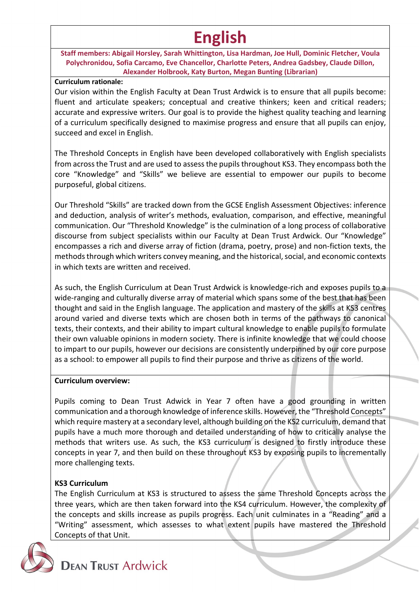# **English**

**Staff members: Abigail Horsley, Sarah Whittington, Lisa Hardman, Joe Hull, Dominic Fletcher, Voula Polychronidou, Sofia Carcamo, Eve Chancellor, Charlotte Peters, Andrea Gadsbey, Claude Dillon, Alexander Holbrook, Katy Burton, Megan Bunting (Librarian)**

#### **Curriculum rationale:**

Our vision within the English Faculty at Dean Trust Ardwick is to ensure that all pupils become: fluent and articulate speakers; conceptual and creative thinkers; keen and critical readers; accurate and expressive writers. Our goal is to provide the highest quality teaching and learning of a curriculum specifically designed to maximise progress and ensure that all pupils can enjoy, succeed and excel in English.

The Threshold Concepts in English have been developed collaboratively with English specialists from across the Trust and are used to assess the pupils throughout KS3. They encompass both the core "Knowledge" and "Skills" we believe are essential to empower our pupils to become purposeful, global citizens.

Our Threshold "Skills" are tracked down from the GCSE English Assessment Objectives: inference and deduction, analysis of writer's methods, evaluation, comparison, and effective, meaningful communication. Our "Threshold Knowledge" is the culmination of a long process of collaborative discourse from subject specialists within our Faculty at Dean Trust Ardwick. Our "Knowledge" encompasses a rich and diverse array of fiction (drama, poetry, prose) and non-fiction texts, the methods through which writers convey meaning, and the historical, social, and economic contexts in which texts are written and received.

As such, the English Curriculum at Dean Trust Ardwick is knowledge-rich and exposes pupils to a wide-ranging and culturally diverse array of material which spans some of the best that has been thought and said in the English language. The application and mastery of the skills at KS3 centres around varied and diverse texts which are chosen both in terms of the pathways to canonical texts, their contexts, and their ability to impart cultural knowledge to enable pupils to formulate their own valuable opinions in modern society. There is infinite knowledge that we could choose to impart to our pupils, however our decisions are consistently underpinned by our core purpose as a school: to empower all pupils to find their purpose and thrive as citizens of the world.

## **Curriculum overview:**

Pupils coming to Dean Trust Adwick in Year 7 often have a good grounding in written communication and a thorough knowledge of inference skills. However, the "Threshold Concepts" which require mastery at a secondary level, although building on the KS2 curriculum, demand that pupils have a much more thorough and detailed understanding of how to critically analyse the methods that writers use. As such, the KS3 curriculum is designed to firstly introduce these concepts in year 7, and then build on these throughout KS3 by exposing pupils to incrementally more challenging texts.

## **KS3 Curriculum**

The English Curriculum at KS3 is structured to assess the same Threshold Concepts across the three years, which are then taken forward into the KS4 curriculum. However, the complexity of the concepts and skills increase as pupils progress. Each unit culminates in a "Reading" and a "Writing" assessment, which assesses to what extent pupils have mastered the Threshold Concepts of that Unit.